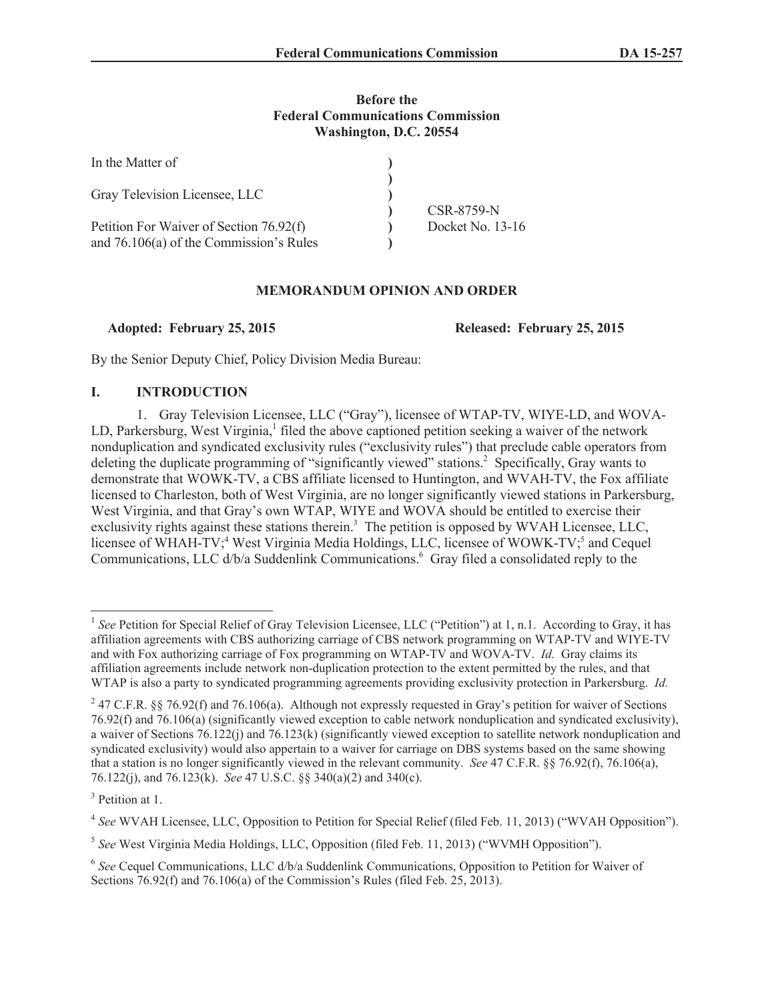## **Before the Federal Communications Commission Washington, D.C. 20554**

| In the Matter of                        |                  |
|-----------------------------------------|------------------|
|                                         |                  |
| Gray Television Licensee, LLC           |                  |
|                                         | CSR-8759-N       |
| Petition For Waiver of Section 76.92(f) | Docket No. 13-16 |
| and 76.106(a) of the Commission's Rules |                  |

## **MEMORANDUM OPINION AND ORDER**

**Adopted: February 25, 2015 Released: February 25, 2015**

By the Senior Deputy Chief, Policy Division Media Bureau:

## **I. INTRODUCTION**

1. Gray Television Licensee, LLC ("Gray"), licensee of WTAP-TV, WIYE-LD, and WOVA-LD, Parkersburg, West Virginia,<sup>1</sup> filed the above captioned petition seeking a waiver of the network nonduplication and syndicated exclusivity rules ("exclusivity rules") that preclude cable operators from deleting the duplicate programming of "significantly viewed" stations.<sup>2</sup> Specifically, Gray wants to demonstrate that WOWK-TV, a CBS affiliate licensed to Huntington, and WVAH-TV, the Fox affiliate licensed to Charleston, both of West Virginia, are no longer significantly viewed stations in Parkersburg, West Virginia, and that Gray's own WTAP, WIYE and WOVA should be entitled to exercise their exclusivity rights against these stations therein.<sup>3</sup> The petition is opposed by WVAH Licensee, LLC, licensee of WHAH-TV;<sup>4</sup> West Virginia Media Holdings, LLC, licensee of WOWK-TV;<sup>5</sup> and Cequel Communications, LLC d/b/a Suddenlink Communications.<sup>6</sup> Gray filed a consolidated reply to the

<sup>1</sup> *See* Petition for Special Relief of Gray Television Licensee, LLC ("Petition") at 1, n.1. According to Gray, it has affiliation agreements with CBS authorizing carriage of CBS network programming on WTAP-TV and WIYE-TV and with Fox authorizing carriage of Fox programming on WTAP-TV and WOVA-TV. *Id.* Gray claims its affiliation agreements include network non-duplication protection to the extent permitted by the rules, and that WTAP is also a party to syndicated programming agreements providing exclusivity protection in Parkersburg. *Id.*

<sup>&</sup>lt;sup>2</sup> 47 C.F.R. §§ 76.92(f) and 76.106(a). Although not expressly requested in Gray's petition for waiver of Sections 76.92(f) and 76.106(a) (significantly viewed exception to cable network nonduplication and syndicated exclusivity), a waiver of Sections 76.122(j) and 76.123(k) (significantly viewed exception to satellite network nonduplication and syndicated exclusivity) would also appertain to a waiver for carriage on DBS systems based on the same showing that a station is no longer significantly viewed in the relevant community. *See* 47 C.F.R. §§ 76.92(f), 76.106(a), 76.122(j), and 76.123(k). *See* 47 U.S.C. §§ 340(a)(2) and 340(c).

<sup>&</sup>lt;sup>3</sup> Petition at 1.

<sup>&</sup>lt;sup>4</sup> See WVAH Licensee, LLC, Opposition to Petition for Special Relief (filed Feb. 11, 2013) ("WVAH Opposition").

<sup>5</sup> *See* West Virginia Media Holdings, LLC, Opposition (filed Feb. 11, 2013) ("WVMH Opposition").

<sup>&</sup>lt;sup>6</sup> See Cequel Communications, LLC d/b/a Suddenlink Communications, Opposition to Petition for Waiver of Sections 76.92(f) and 76.106(a) of the Commission's Rules (filed Feb. 25, 2013).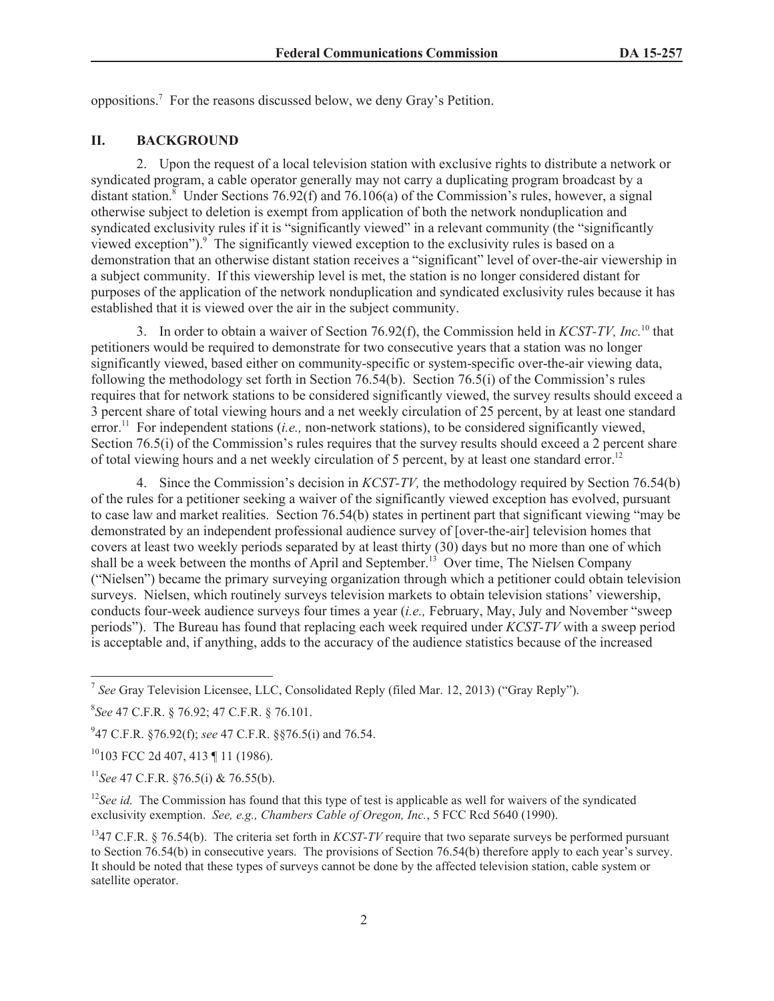oppositions.<sup>7</sup> For the reasons discussed below, we deny Gray's Petition.

#### **II. BACKGROUND**

2. Upon the request of a local television station with exclusive rights to distribute a network or syndicated program, a cable operator generally may not carry a duplicating program broadcast by a distant station.<sup>8</sup> Under Sections 76.92(f) and 76.106(a) of the Commission's rules, however, a signal otherwise subject to deletion is exempt from application of both the network nonduplication and syndicated exclusivity rules if it is "significantly viewed" in a relevant community (the "significantly viewed exception"). $\degree$  The significantly viewed exception to the exclusivity rules is based on a demonstration that an otherwise distant station receives a "significant" level of over-the-air viewership in a subject community. If this viewership level is met, the station is no longer considered distant for purposes of the application of the network nonduplication and syndicated exclusivity rules because it has established that it is viewed over the air in the subject community.

3. In order to obtain a waiver of Section 76.92(f), the Commission held in *KCST-TV, Inc.*<sup>10</sup> that petitioners would be required to demonstrate for two consecutive years that a station was no longer significantly viewed, based either on community-specific or system-specific over-the-air viewing data, following the methodology set forth in Section 76.54(b). Section 76.5(i) of the Commission's rules requires that for network stations to be considered significantly viewed, the survey results should exceed a 3 percent share of total viewing hours and a net weekly circulation of 25 percent, by at least one standard error.<sup>11</sup> For independent stations (*i.e.,* non-network stations), to be considered significantly viewed, Section 76.5(i) of the Commission's rules requires that the survey results should exceed a 2 percent share of total viewing hours and a net weekly circulation of 5 percent, by at least one standard error.<sup>12</sup>

4. Since the Commission's decision in *KCST-TV,* the methodology required by Section 76.54(b) of the rules for a petitioner seeking a waiver of the significantly viewed exception has evolved, pursuant to case law and market realities. Section 76.54(b) states in pertinent part that significant viewing "may be demonstrated by an independent professional audience survey of [over-the-air] television homes that covers at least two weekly periods separated by at least thirty (30) days but no more than one of which shall be a week between the months of April and September.<sup>13</sup> Over time, The Nielsen Company ("Nielsen") became the primary surveying organization through which a petitioner could obtain television surveys. Nielsen, which routinely surveys television markets to obtain television stations' viewership, conducts four-week audience surveys four times a year (*i.e.,* February, May, July and November "sweep periods"). The Bureau has found that replacing each week required under *KCST-TV* with a sweep period is acceptable and, if anything, adds to the accuracy of the audience statistics because of the increased

9 47 C.F.R. §76.92(f); *see* 47 C.F.R. §§76.5(i) and 76.54.

<sup>10</sup>103 FCC 2d 407, 413 ¶ 11 (1986).

<sup>11</sup>*See* 47 C.F.R. §76.5(i) & 76.55(b).

<sup>12</sup>See id. The Commission has found that this type of test is applicable as well for waivers of the syndicated exclusivity exemption. *See, e.g., Chambers Cable of Oregon, Inc.*, 5 FCC Rcd 5640 (1990).

<sup>7</sup> *See* Gray Television Licensee, LLC, Consolidated Reply (filed Mar. 12, 2013) ("Gray Reply").

<sup>8</sup> *See* 47 C.F.R. § 76.92; 47 C.F.R. § 76.101.

<sup>13</sup>47 C.F.R. § 76.54(b). The criteria set forth in *KCST-TV* require that two separate surveys be performed pursuant to Section 76.54(b) in consecutive years. The provisions of Section 76.54(b) therefore apply to each year's survey. It should be noted that these types of surveys cannot be done by the affected television station, cable system or satellite operator.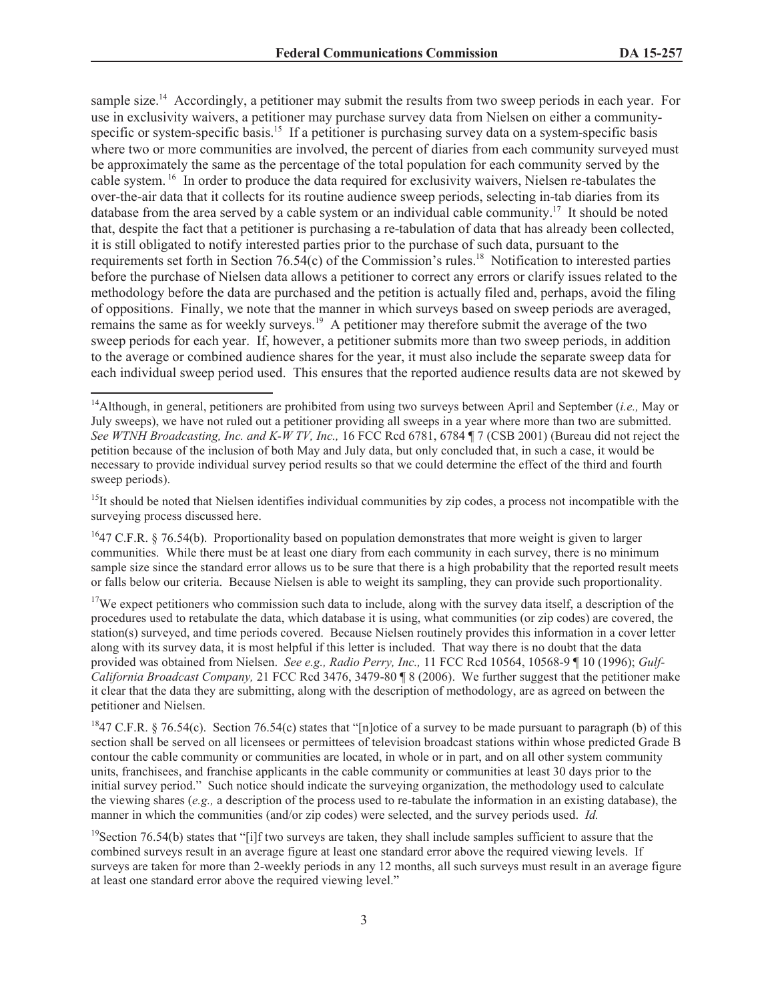sample size.<sup>14</sup> Accordingly, a petitioner may submit the results from two sweep periods in each year. For use in exclusivity waivers, a petitioner may purchase survey data from Nielsen on either a communityspecific or system-specific basis.<sup>15</sup> If a petitioner is purchasing survey data on a system-specific basis where two or more communities are involved, the percent of diaries from each community surveyed must be approximately the same as the percentage of the total population for each community served by the cable system. <sup>16</sup> In order to produce the data required for exclusivity waivers, Nielsen re-tabulates the over-the-air data that it collects for its routine audience sweep periods, selecting in-tab diaries from its database from the area served by a cable system or an individual cable community.<sup>17</sup> It should be noted that, despite the fact that a petitioner is purchasing a re-tabulation of data that has already been collected, it is still obligated to notify interested parties prior to the purchase of such data, pursuant to the requirements set forth in Section 76.54(c) of the Commission's rules.<sup>18</sup> Notification to interested parties before the purchase of Nielsen data allows a petitioner to correct any errors or clarify issues related to the methodology before the data are purchased and the petition is actually filed and, perhaps, avoid the filing of oppositions. Finally, we note that the manner in which surveys based on sweep periods are averaged, remains the same as for weekly surveys.<sup>19</sup> A petitioner may therefore submit the average of the two sweep periods for each year. If, however, a petitioner submits more than two sweep periods, in addition to the average or combined audience shares for the year, it must also include the separate sweep data for each individual sweep period used. This ensures that the reported audience results data are not skewed by

 $15$ It should be noted that Nielsen identifies individual communities by zip codes, a process not incompatible with the surveying process discussed here.

 $^{16}$ 47 C.F.R. § 76.54(b). Proportionality based on population demonstrates that more weight is given to larger communities. While there must be at least one diary from each community in each survey, there is no minimum sample size since the standard error allows us to be sure that there is a high probability that the reported result meets or falls below our criteria. Because Nielsen is able to weight its sampling, they can provide such proportionality.

 $17$ We expect petitioners who commission such data to include, along with the survey data itself, a description of the procedures used to retabulate the data, which database it is using, what communities (or zip codes) are covered, the station(s) surveyed, and time periods covered. Because Nielsen routinely provides this information in a cover letter along with its survey data, it is most helpful if this letter is included. That way there is no doubt that the data provided was obtained from Nielsen. *See e.g., Radio Perry, Inc.,* 11 FCC Rcd 10564, 10568-9 ¶ 10 (1996); *Gulf-California Broadcast Company,* 21 FCC Rcd 3476, 3479-80 ¶ 8 (2006). We further suggest that the petitioner make it clear that the data they are submitting, along with the description of methodology, are as agreed on between the petitioner and Nielsen.

<sup>18</sup>47 C.F.R. § 76.54(c). Section 76.54(c) states that "[n]otice of a survey to be made pursuant to paragraph (b) of this section shall be served on all licensees or permittees of television broadcast stations within whose predicted Grade B contour the cable community or communities are located, in whole or in part, and on all other system community units, franchisees, and franchise applicants in the cable community or communities at least 30 days prior to the initial survey period." Such notice should indicate the surveying organization, the methodology used to calculate the viewing shares (*e.g.,* a description of the process used to re-tabulate the information in an existing database), the manner in which the communities (and/or zip codes) were selected, and the survey periods used. *Id.*

<sup>14</sup>Although, in general, petitioners are prohibited from using two surveys between April and September (*i.e.,* May or July sweeps), we have not ruled out a petitioner providing all sweeps in a year where more than two are submitted. *See WTNH Broadcasting, Inc. and K-W TV, Inc.,* 16 FCC Rcd 6781, 6784 ¶ 7 (CSB 2001) (Bureau did not reject the petition because of the inclusion of both May and July data, but only concluded that, in such a case, it would be necessary to provide individual survey period results so that we could determine the effect of the third and fourth sweep periods).

 $19$ Section 76.54(b) states that "[i]f two surveys are taken, they shall include samples sufficient to assure that the combined surveys result in an average figure at least one standard error above the required viewing levels. If surveys are taken for more than 2-weekly periods in any 12 months, all such surveys must result in an average figure at least one standard error above the required viewing level."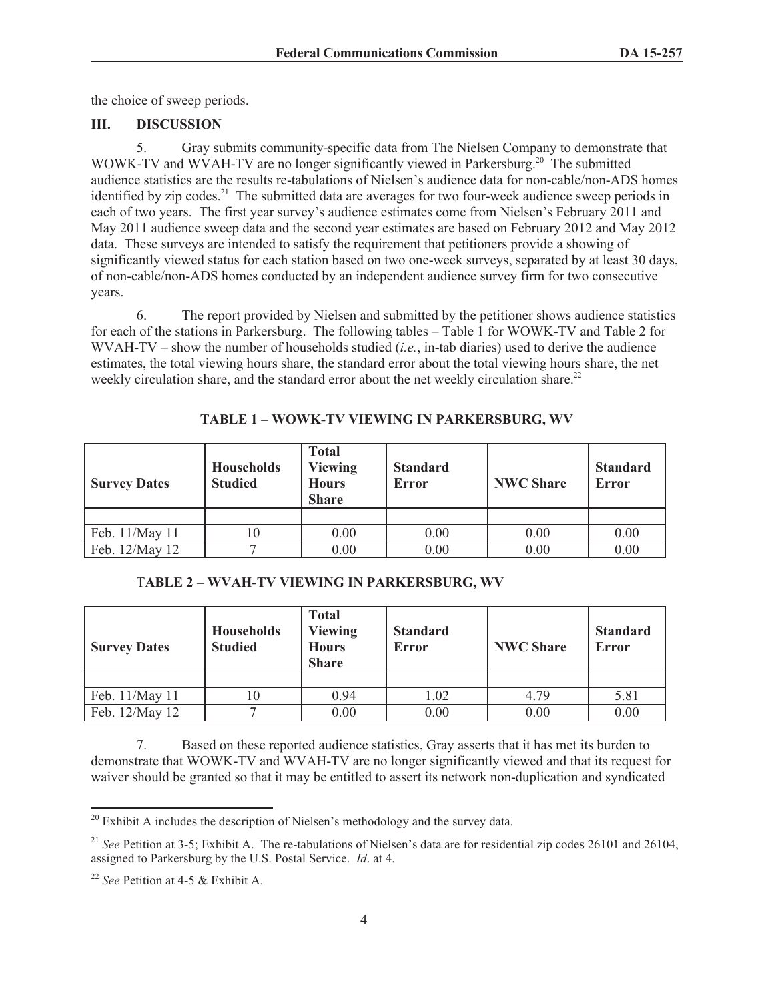the choice of sweep periods.

## **III. DISCUSSION**

5. Gray submits community-specific data from The Nielsen Company to demonstrate that WOWK-TV and WVAH-TV are no longer significantly viewed in Parkersburg.<sup>20</sup> The submitted audience statistics are the results re-tabulations of Nielsen's audience data for non-cable/non-ADS homes identified by zip codes.<sup>21</sup> The submitted data are averages for two four-week audience sweep periods in each of two years. The first year survey's audience estimates come from Nielsen's February 2011 and May 2011 audience sweep data and the second year estimates are based on February 2012 and May 2012 data. These surveys are intended to satisfy the requirement that petitioners provide a showing of significantly viewed status for each station based on two one-week surveys, separated by at least 30 days, of non-cable/non-ADS homes conducted by an independent audience survey firm for two consecutive years.

6. The report provided by Nielsen and submitted by the petitioner shows audience statistics for each of the stations in Parkersburg. The following tables – Table 1 for WOWK-TV and Table 2 for WVAH-TV – show the number of households studied (*i.e.*, in-tab diaries) used to derive the audience estimates, the total viewing hours share, the standard error about the total viewing hours share, the net weekly circulation share, and the standard error about the net weekly circulation share.<sup>22</sup>

| <b>Survey Dates</b> | <b>Households</b><br><b>Studied</b> | <b>Total</b><br><b>Viewing</b><br><b>Hours</b><br><b>Share</b> | <b>Standard</b><br>Error | <b>NWC Share</b> | <b>Standard</b><br>Error |
|---------------------|-------------------------------------|----------------------------------------------------------------|--------------------------|------------------|--------------------------|
|                     |                                     |                                                                |                          |                  |                          |
| Feb. 11/May 11      |                                     | 0.00                                                           | 0.00                     | 0.00             | 0.00                     |
| Feb. 12/May 12      |                                     | 0.00                                                           | 0.00                     | 0.00             | 0.00                     |

### **TABLE 1 – WOWK-TV VIEWING IN PARKERSBURG, WV**

#### T**ABLE 2 – WVAH-TV VIEWING IN PARKERSBURG, WV**

| <b>Survey Dates</b> | <b>Households</b><br><b>Studied</b> | <b>Total</b><br><b>Viewing</b><br><b>Hours</b><br><b>Share</b> | <b>Standard</b><br><b>Error</b> | <b>NWC Share</b> | <b>Standard</b><br>Error |
|---------------------|-------------------------------------|----------------------------------------------------------------|---------------------------------|------------------|--------------------------|
|                     |                                     |                                                                |                                 |                  |                          |
| Feb. 11/May 11      | 0                                   | 0.94                                                           | 1.02                            | 4.79             | 5.81                     |
| Feb. 12/May 12      |                                     | 0.00                                                           | 0.00                            | 0.00             | 0.00                     |

7. Based on these reported audience statistics, Gray asserts that it has met its burden to demonstrate that WOWK-TV and WVAH-TV are no longer significantly viewed and that its request for waiver should be granted so that it may be entitled to assert its network non-duplication and syndicated

<sup>&</sup>lt;sup>20</sup> Exhibit A includes the description of Nielsen's methodology and the survey data.

<sup>&</sup>lt;sup>21</sup> *See* Petition at 3-5; Exhibit A. The re-tabulations of Nielsen's data are for residential zip codes 26101 and 26104, assigned to Parkersburg by the U.S. Postal Service. *Id*. at 4.

<sup>22</sup> *See* Petition at 4-5 & Exhibit A.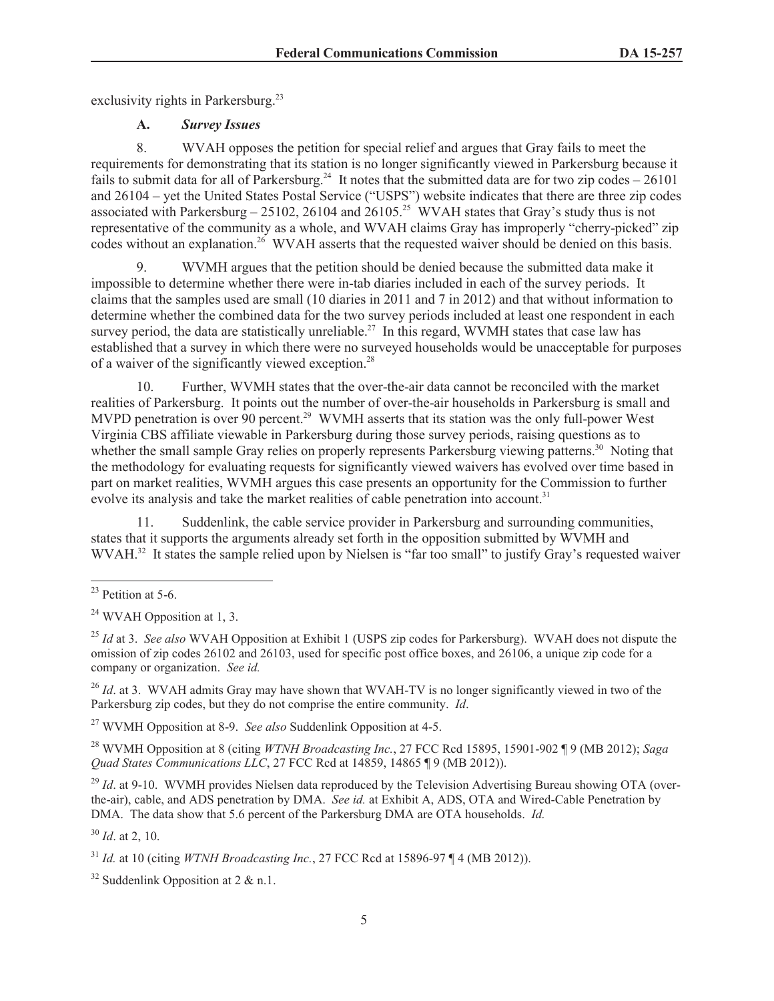exclusivity rights in Parkersburg.<sup>23</sup>

# **A.** *Survey Issues*

8. WVAH opposes the petition for special relief and argues that Gray fails to meet the requirements for demonstrating that its station is no longer significantly viewed in Parkersburg because it fails to submit data for all of Parkersburg.<sup>24</sup> It notes that the submitted data are for two zip codes  $-26101$ and 26104 – yet the United States Postal Service ("USPS") website indicates that there are three zip codes associated with Parkersburg – 25102, 26104 and 26105.<sup>25</sup> WVAH states that Gray's study thus is not representative of the community as a whole, and WVAH claims Gray has improperly "cherry-picked" zip codes without an explanation.<sup>26</sup> WVAH asserts that the requested waiver should be denied on this basis.

9. WVMH argues that the petition should be denied because the submitted data make it impossible to determine whether there were in-tab diaries included in each of the survey periods. It claims that the samples used are small (10 diaries in 2011 and 7 in 2012) and that without information to determine whether the combined data for the two survey periods included at least one respondent in each survey period, the data are statistically unreliable.<sup>27</sup> In this regard, WVMH states that case law has established that a survey in which there were no surveyed households would be unacceptable for purposes of a waiver of the significantly viewed exception.<sup>28</sup>

10. Further, WVMH states that the over-the-air data cannot be reconciled with the market realities of Parkersburg. It points out the number of over-the-air households in Parkersburg is small and MVPD penetration is over 90 percent.<sup>29</sup> WVMH asserts that its station was the only full-power West Virginia CBS affiliate viewable in Parkersburg during those survey periods, raising questions as to whether the small sample Gray relies on properly represents Parkersburg viewing patterns.<sup>30</sup> Noting that the methodology for evaluating requests for significantly viewed waivers has evolved over time based in part on market realities, WVMH argues this case presents an opportunity for the Commission to further evolve its analysis and take the market realities of cable penetration into account.<sup>31</sup>

11. Suddenlink, the cable service provider in Parkersburg and surrounding communities, states that it supports the arguments already set forth in the opposition submitted by WVMH and WVAH.<sup>32</sup> It states the sample relied upon by Nielsen is "far too small" to justify Gray's requested waiver

<sup>26</sup> *Id.* at 3. WVAH admits Gray may have shown that WVAH-TV is no longer significantly viewed in two of the Parkersburg zip codes, but they do not comprise the entire community. *Id*.

<sup>27</sup> WVMH Opposition at 8-9. *See also* Suddenlink Opposition at 4-5.

<sup>28</sup> WVMH Opposition at 8 (citing *WTNH Broadcasting Inc.*, 27 FCC Rcd 15895, 15901-902 ¶ 9 (MB 2012); *Saga Quad States Communications LLC*, 27 FCC Rcd at 14859, 14865 ¶ 9 (MB 2012)).

<sup>29</sup> *Id.* at 9-10. WVMH provides Nielsen data reproduced by the Television Advertising Bureau showing OTA (overthe-air), cable, and ADS penetration by DMA. *See id.* at Exhibit A, ADS, OTA and Wired-Cable Penetration by DMA. The data show that 5.6 percent of the Parkersburg DMA are OTA households. *Id.*

<sup>30</sup> *Id*. at 2, 10.

<sup>32</sup> Suddenlink Opposition at  $2 \& n.1$ .

 $23$  Petition at 5-6.

 $24$  WVAH Opposition at 1, 3.

<sup>25</sup> *Id* at 3. *See also* WVAH Opposition at Exhibit 1 (USPS zip codes for Parkersburg). WVAH does not dispute the omission of zip codes 26102 and 26103, used for specific post office boxes, and 26106, a unique zip code for a company or organization. *See id.*

<sup>31</sup> *Id.* at 10 (citing *WTNH Broadcasting Inc.*, 27 FCC Rcd at 15896-97 ¶ 4 (MB 2012)).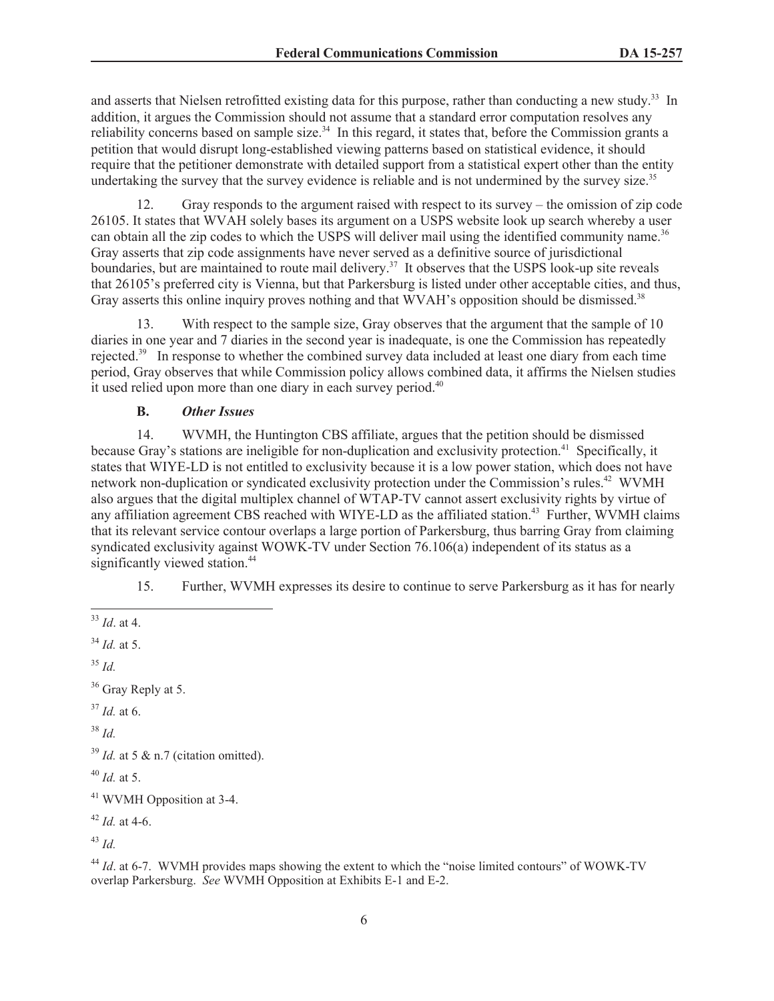and asserts that Nielsen retrofitted existing data for this purpose, rather than conducting a new study.<sup>33</sup> In addition, it argues the Commission should not assume that a standard error computation resolves any reliability concerns based on sample size.<sup>34</sup> In this regard, it states that, before the Commission grants a petition that would disrupt long-established viewing patterns based on statistical evidence, it should require that the petitioner demonstrate with detailed support from a statistical expert other than the entity undertaking the survey that the survey evidence is reliable and is not undermined by the survey size.<sup>35</sup>

12. Gray responds to the argument raised with respect to its survey – the omission of zip code 26105. It states that WVAH solely bases its argument on a USPS website look up search whereby a user can obtain all the zip codes to which the USPS will deliver mail using the identified community name.<sup>36</sup> Gray asserts that zip code assignments have never served as a definitive source of jurisdictional boundaries, but are maintained to route mail delivery.<sup>37</sup> It observes that the USPS look-up site reveals that 26105's preferred city is Vienna, but that Parkersburg is listed under other acceptable cities, and thus, Gray asserts this online inquiry proves nothing and that WVAH's opposition should be dismissed.<sup>38</sup>

13. With respect to the sample size, Gray observes that the argument that the sample of 10 diaries in one year and 7 diaries in the second year is inadequate, is one the Commission has repeatedly rejected.<sup>39</sup> In response to whether the combined survey data included at least one diary from each time period, Gray observes that while Commission policy allows combined data, it affirms the Nielsen studies it used relied upon more than one diary in each survey period.<sup>40</sup>

## **B.** *Other Issues*

14. WVMH, the Huntington CBS affiliate, argues that the petition should be dismissed because Gray's stations are ineligible for non-duplication and exclusivity protection.<sup>41</sup> Specifically, it states that WIYE-LD is not entitled to exclusivity because it is a low power station, which does not have network non-duplication or syndicated exclusivity protection under the Commission's rules.<sup>42</sup> WVMH also argues that the digital multiplex channel of WTAP-TV cannot assert exclusivity rights by virtue of any affiliation agreement CBS reached with WIYE-LD as the affiliated station.<sup>43</sup> Further, WVMH claims that its relevant service contour overlaps a large portion of Parkersburg, thus barring Gray from claiming syndicated exclusivity against WOWK-TV under Section 76.106(a) independent of its status as a significantly viewed station.<sup>44</sup>

15. Further, WVMH expresses its desire to continue to serve Parkersburg as it has for nearly

- <sup>34</sup> *Id.* at 5.
- <sup>35</sup> *Id.*
- <sup>36</sup> Gray Reply at 5.
- <sup>37</sup> *Id.* at 6.
- <sup>38</sup> *Id.*

 $39$  *Id.* at 5 & n.7 (citation omitted).

 $^{40}$  *Id.* at 5.

<sup>42</sup> *Id.* at 4-6.

<sup>43</sup> *Id.*

<sup>44</sup> *Id.* at 6-7. WVMH provides maps showing the extent to which the "noise limited contours" of WOWK-TV overlap Parkersburg. *See* WVMH Opposition at Exhibits E-1 and E-2.

<sup>33</sup> *Id*. at 4.

<sup>41</sup> WVMH Opposition at 3-4.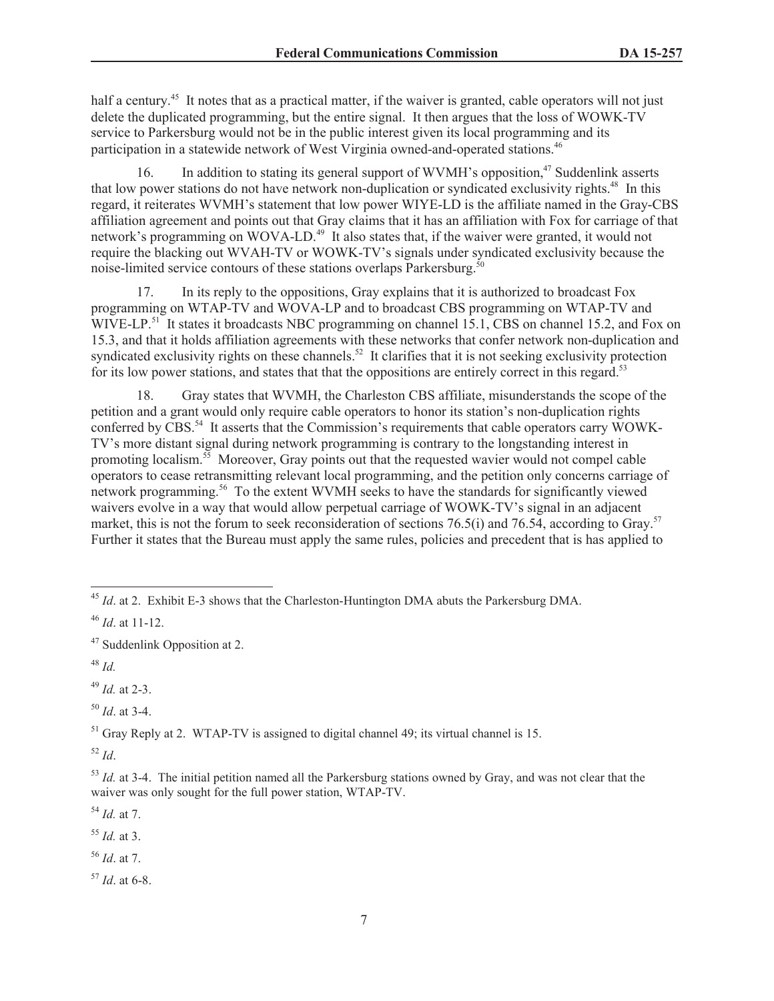half a century.<sup>45</sup> It notes that as a practical matter, if the waiver is granted, cable operators will not just delete the duplicated programming, but the entire signal. It then argues that the loss of WOWK-TV service to Parkersburg would not be in the public interest given its local programming and its participation in a statewide network of West Virginia owned-and-operated stations.<sup>46</sup>

16. In addition to stating its general support of WVMH's opposition,<sup>47</sup> Suddenlink asserts that low power stations do not have network non-duplication or syndicated exclusivity rights.<sup>48</sup> In this regard, it reiterates WVMH's statement that low power WIYE-LD is the affiliate named in the Gray-CBS affiliation agreement and points out that Gray claims that it has an affiliation with Fox for carriage of that network's programming on WOVA-LD.<sup>49</sup> It also states that, if the waiver were granted, it would not require the blacking out WVAH-TV or WOWK-TV's signals under syndicated exclusivity because the noise-limited service contours of these stations overlaps Parkersburg.<sup>50</sup>

17. In its reply to the oppositions, Gray explains that it is authorized to broadcast Fox programming on WTAP-TV and WOVA-LP and to broadcast CBS programming on WTAP-TV and WIVE-LP.<sup>51</sup> It states it broadcasts NBC programming on channel 15.1, CBS on channel 15.2, and Fox on 15.3, and that it holds affiliation agreements with these networks that confer network non-duplication and syndicated exclusivity rights on these channels.<sup>52</sup> It clarifies that it is not seeking exclusivity protection for its low power stations, and states that that the oppositions are entirely correct in this regard.<sup>53</sup>

18. Gray states that WVMH, the Charleston CBS affiliate, misunderstands the scope of the petition and a grant would only require cable operators to honor its station's non-duplication rights conferred by CBS.<sup>54</sup> It asserts that the Commission's requirements that cable operators carry WOWK-TV's more distant signal during network programming is contrary to the longstanding interest in promoting localism.<sup>55</sup> Moreover, Gray points out that the requested wavier would not compel cable operators to cease retransmitting relevant local programming, and the petition only concerns carriage of network programming.<sup>56</sup> To the extent WVMH seeks to have the standards for significantly viewed waivers evolve in a way that would allow perpetual carriage of WOWK-TV's signal in an adjacent market, this is not the forum to seek reconsideration of sections 76.5(i) and 76.54, according to Gray.<sup>57</sup> Further it states that the Bureau must apply the same rules, policies and precedent that is has applied to

<sup>49</sup> *Id.* at 2-3.

<sup>50</sup> *Id*. at 3-4.

<sup>51</sup> Gray Reply at 2. WTAP-TV is assigned to digital channel 49; its virtual channel is 15.

<sup>52</sup> *Id*.

<sup>54</sup> *Id.* at 7.

<sup>55</sup> *Id.* at 3.

<sup>56</sup> *Id*. at 7.

<sup>57</sup> *Id*. at 6-8.

<sup>45</sup> *Id*. at 2. Exhibit E-3 shows that the Charleston-Huntington DMA abuts the Parkersburg DMA.

<sup>46</sup> *Id*. at 11-12.

<sup>47</sup> Suddenlink Opposition at 2.

<sup>48</sup> *Id.*

<sup>&</sup>lt;sup>53</sup> *Id.* at 3-4. The initial petition named all the Parkersburg stations owned by Gray, and was not clear that the waiver was only sought for the full power station, WTAP-TV.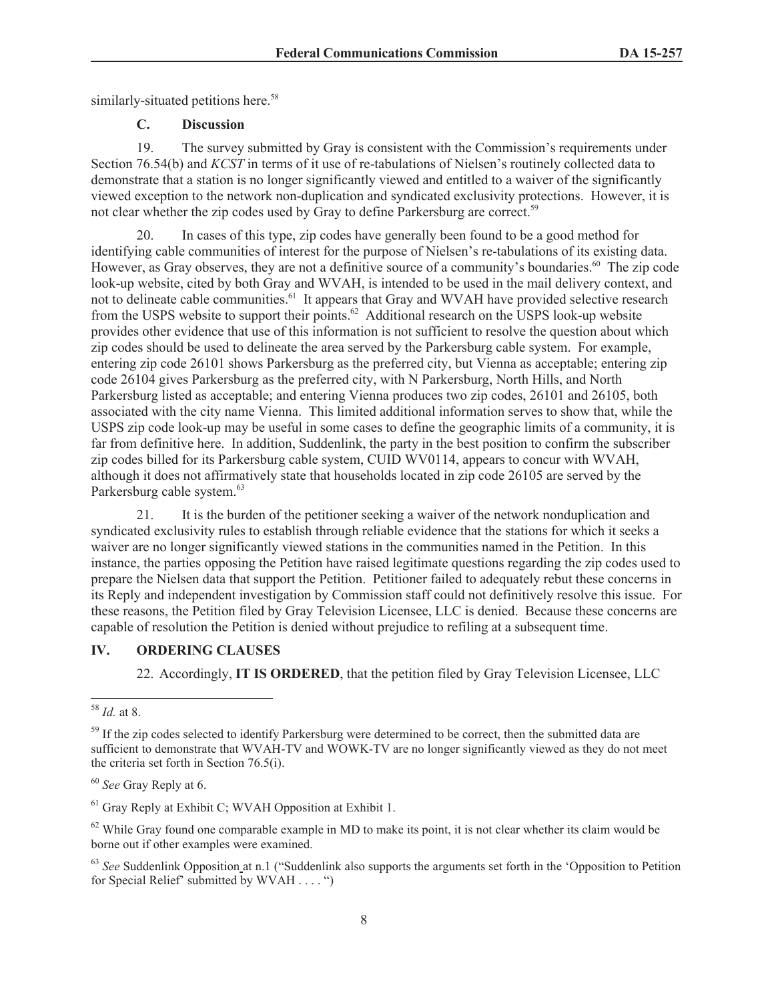similarly-situated petitions here.<sup>58</sup>

## **C. Discussion**

19. The survey submitted by Gray is consistent with the Commission's requirements under Section 76.54(b) and *KCST* in terms of it use of re-tabulations of Nielsen's routinely collected data to demonstrate that a station is no longer significantly viewed and entitled to a waiver of the significantly viewed exception to the network non-duplication and syndicated exclusivity protections. However, it is not clear whether the zip codes used by Gray to define Parkersburg are correct.<sup>59</sup>

20. In cases of this type, zip codes have generally been found to be a good method for identifying cable communities of interest for the purpose of Nielsen's re-tabulations of its existing data. However, as Gray observes, they are not a definitive source of a community's boundaries.<sup>60</sup> The zip code look-up website, cited by both Gray and WVAH, is intended to be used in the mail delivery context, and not to delineate cable communities.<sup>61</sup> It appears that Gray and WVAH have provided selective research from the USPS website to support their points.<sup>62</sup> Additional research on the USPS look-up website provides other evidence that use of this information is not sufficient to resolve the question about which zip codes should be used to delineate the area served by the Parkersburg cable system. For example, entering zip code 26101 shows Parkersburg as the preferred city, but Vienna as acceptable; entering zip code 26104 gives Parkersburg as the preferred city, with N Parkersburg, North Hills, and North Parkersburg listed as acceptable; and entering Vienna produces two zip codes, 26101 and 26105, both associated with the city name Vienna. This limited additional information serves to show that, while the USPS zip code look-up may be useful in some cases to define the geographic limits of a community, it is far from definitive here. In addition, Suddenlink, the party in the best position to confirm the subscriber zip codes billed for its Parkersburg cable system, CUID WV0114, appears to concur with WVAH, although it does not affirmatively state that households located in zip code 26105 are served by the Parkersburg cable system.<sup>63</sup>

21. It is the burden of the petitioner seeking a waiver of the network nonduplication and syndicated exclusivity rules to establish through reliable evidence that the stations for which it seeks a waiver are no longer significantly viewed stations in the communities named in the Petition. In this instance, the parties opposing the Petition have raised legitimate questions regarding the zip codes used to prepare the Nielsen data that support the Petition. Petitioner failed to adequately rebut these concerns in its Reply and independent investigation by Commission staff could not definitively resolve this issue. For these reasons, the Petition filed by Gray Television Licensee, LLC is denied. Because these concerns are capable of resolution the Petition is denied without prejudice to refiling at a subsequent time.

## **IV. ORDERING CLAUSES**

22. Accordingly, **IT IS ORDERED**, that the petition filed by Gray Television Licensee, LLC

<sup>58</sup> *Id.* at 8.

<sup>&</sup>lt;sup>59</sup> If the zip codes selected to identify Parkersburg were determined to be correct, then the submitted data are sufficient to demonstrate that WVAH-TV and WOWK-TV are no longer significantly viewed as they do not meet the criteria set forth in Section 76.5(i).

<sup>60</sup> *See* Gray Reply at 6.

 $<sup>61</sup>$  Gray Reply at Exhibit C; WVAH Opposition at Exhibit 1.</sup>

 $62$  While Gray found one comparable example in MD to make its point, it is not clear whether its claim would be borne out if other examples were examined.

<sup>63</sup> *See* Suddenlink Opposition at n.1 ("Suddenlink also supports the arguments set forth in the 'Opposition to Petition for Special Relief' submitted by WVAH . . . . ")